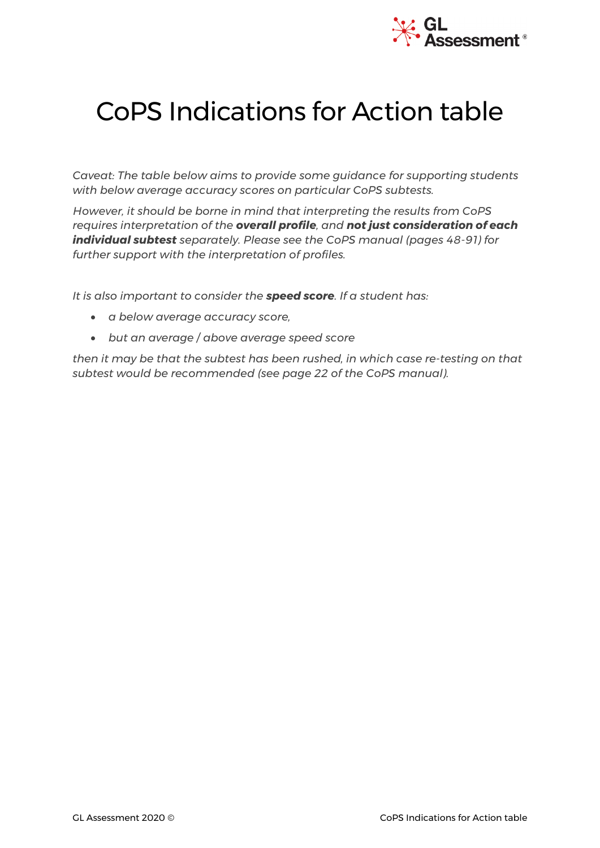

## CoPS Indications for Action table

*Caveat: The table below aims to provide some guidance for supporting students with below average accuracy scores on particular CoPS subtests.* 

*However, it should be borne in mind that interpreting the results from CoPS requires interpretation of the overall profile, and not just consideration of each individual subtest separately. Please see the CoPS manual (pages 48-91) for further support with the interpretation of profiles.* 

*It is also important to consider the speed score. If a student has:*

- *a below average accuracy score,*
- *but an average / above average speed score*

*then it may be that the subtest has been rushed, in which case re-testing on that subtest would be recommended (see page 22 of the CoPS manual).*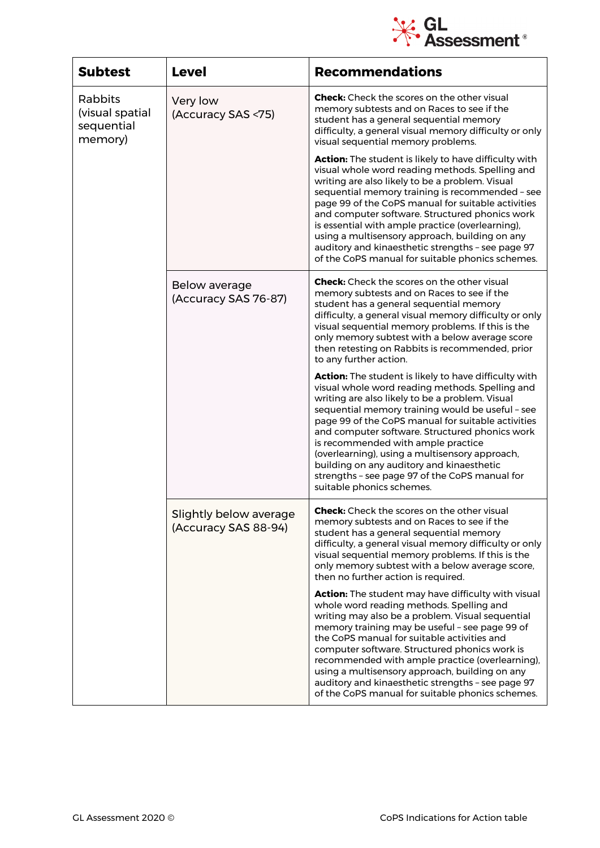

| <b>Subtest</b>                                      | <b>Level</b>                                   | <b>Recommendations</b>                                                                                                                                                                                                                                                                                                                                                                                                                                                                                                                      |
|-----------------------------------------------------|------------------------------------------------|---------------------------------------------------------------------------------------------------------------------------------------------------------------------------------------------------------------------------------------------------------------------------------------------------------------------------------------------------------------------------------------------------------------------------------------------------------------------------------------------------------------------------------------------|
| Rabbits<br>(visual spatial<br>sequential<br>memory) | Very low<br>(Accuracy SAS <75)                 | <b>Check:</b> Check the scores on the other visual<br>memory subtests and on Races to see if the<br>student has a general sequential memory<br>difficulty, a general visual memory difficulty or only<br>visual sequential memory problems.                                                                                                                                                                                                                                                                                                 |
|                                                     |                                                | Action: The student is likely to have difficulty with<br>visual whole word reading methods. Spelling and<br>writing are also likely to be a problem. Visual<br>sequential memory training is recommended - see<br>page 99 of the CoPS manual for suitable activities<br>and computer software. Structured phonics work<br>is essential with ample practice (overlearning),<br>using a multisensory approach, building on any<br>auditory and kinaesthetic strengths - see page 97<br>of the CoPS manual for suitable phonics schemes.       |
|                                                     | Below average<br>(Accuracy SAS 76-87)          | <b>Check:</b> Check the scores on the other visual<br>memory subtests and on Races to see if the<br>student has a general sequential memory<br>difficulty, a general visual memory difficulty or only<br>visual sequential memory problems. If this is the<br>only memory subtest with a below average score<br>then retesting on Rabbits is recommended, prior<br>to any further action.                                                                                                                                                   |
|                                                     |                                                | Action: The student is likely to have difficulty with<br>visual whole word reading methods. Spelling and<br>writing are also likely to be a problem. Visual<br>sequential memory training would be useful - see<br>page 99 of the CoPS manual for suitable activities<br>and computer software. Structured phonics work<br>is recommended with ample practice<br>(overlearning), using a multisensory approach,<br>building on any auditory and kinaesthetic<br>strengths - see page 97 of the CoPS manual for<br>suitable phonics schemes. |
|                                                     | Slightly below average<br>(Accuracy SAS 88-94) | <b>Check:</b> Check the scores on the other visual<br>memory subtests and on Races to see if the<br>student has a general sequential memory<br>difficulty, a general visual memory difficulty or only<br>visual sequential memory problems. If this is the<br>only memory subtest with a below average score,<br>then no further action is required.                                                                                                                                                                                        |
|                                                     |                                                | <b>Action:</b> The student may have difficulty with visual<br>whole word reading methods. Spelling and<br>writing may also be a problem. Visual sequential<br>memory training may be useful - see page 99 of<br>the CoPS manual for suitable activities and<br>computer software. Structured phonics work is<br>recommended with ample practice (overlearning),<br>using a multisensory approach, building on any<br>auditory and kinaesthetic strengths - see page 97<br>of the CoPS manual for suitable phonics schemes.                  |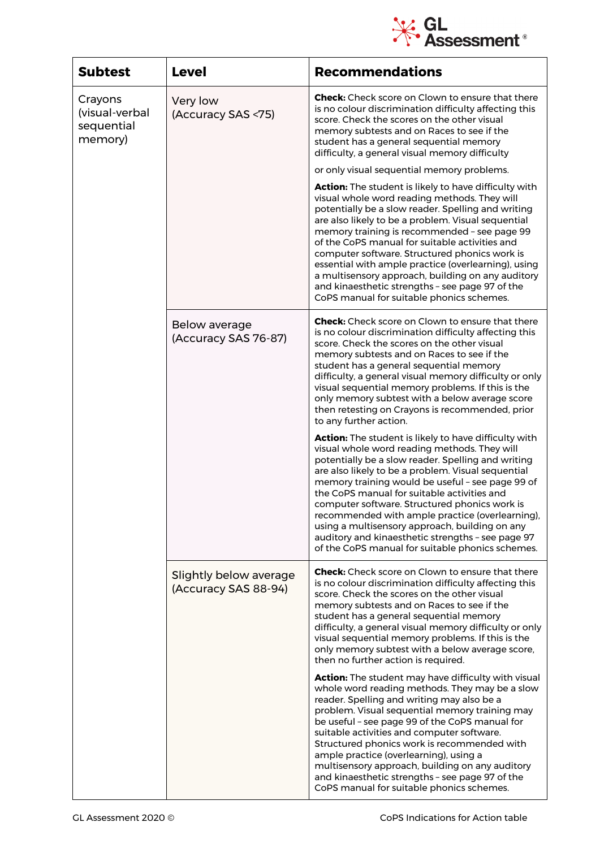

| <b>Subtest</b>                                     | <b>Level</b>                                   | <b>Recommendations</b>                                                                                                                                                                                                                                                                                                                                                                                                                                                                                                                                                              |
|----------------------------------------------------|------------------------------------------------|-------------------------------------------------------------------------------------------------------------------------------------------------------------------------------------------------------------------------------------------------------------------------------------------------------------------------------------------------------------------------------------------------------------------------------------------------------------------------------------------------------------------------------------------------------------------------------------|
| Crayons<br>(visual-verbal<br>sequential<br>memory) | Very low<br>(Accuracy SAS <75)                 | <b>Check:</b> Check score on Clown to ensure that there<br>is no colour discrimination difficulty affecting this<br>score. Check the scores on the other visual<br>memory subtests and on Races to see if the<br>student has a general sequential memory<br>difficulty, a general visual memory difficulty                                                                                                                                                                                                                                                                          |
|                                                    |                                                | or only visual sequential memory problems.                                                                                                                                                                                                                                                                                                                                                                                                                                                                                                                                          |
|                                                    |                                                | Action: The student is likely to have difficulty with<br>visual whole word reading methods. They will<br>potentially be a slow reader. Spelling and writing<br>are also likely to be a problem. Visual sequential<br>memory training is recommended - see page 99<br>of the CoPS manual for suitable activities and<br>computer software. Structured phonics work is<br>essential with ample practice (overlearning), using<br>a multisensory approach, building on any auditory<br>and kinaesthetic strengths - see page 97 of the<br>CoPS manual for suitable phonics schemes.    |
|                                                    | <b>Below average</b><br>(Accuracy SAS 76-87)   | <b>Check:</b> Check score on Clown to ensure that there<br>is no colour discrimination difficulty affecting this<br>score. Check the scores on the other visual<br>memory subtests and on Races to see if the<br>student has a general sequential memory<br>difficulty, a general visual memory difficulty or only<br>visual sequential memory problems. If this is the<br>only memory subtest with a below average score<br>then retesting on Crayons is recommended, prior<br>to any further action.                                                                              |
|                                                    |                                                | Action: The student is likely to have difficulty with<br>visual whole word reading methods. They will<br>potentially be a slow reader. Spelling and writing<br>are also likely to be a problem. Visual sequential<br>memory training would be useful - see page 99 of<br>the CoPS manual for suitable activities and<br>computer software. Structured phonics work is<br>recommended with ample practice (overlearning),<br>using a multisensory approach, building on any<br>auditory and kinaesthetic strengths - see page 97<br>of the CoPS manual for suitable phonics schemes. |
|                                                    | Slightly below average<br>(Accuracy SAS 88-94) | <b>Check:</b> Check score on Clown to ensure that there<br>is no colour discrimination difficulty affecting this<br>score. Check the scores on the other visual<br>memory subtests and on Races to see if the<br>student has a general sequential memory<br>difficulty, a general visual memory difficulty or only<br>visual sequential memory problems. If this is the<br>only memory subtest with a below average score,<br>then no further action is required.                                                                                                                   |
|                                                    |                                                | <b>Action:</b> The student may have difficulty with visual<br>whole word reading methods. They may be a slow<br>reader. Spelling and writing may also be a<br>problem. Visual sequential memory training may<br>be useful - see page 99 of the CoPS manual for<br>suitable activities and computer software.<br>Structured phonics work is recommended with<br>ample practice (overlearning), using a<br>multisensory approach, building on any auditory<br>and kinaesthetic strengths - see page 97 of the<br>CoPS manual for suitable phonics schemes.                            |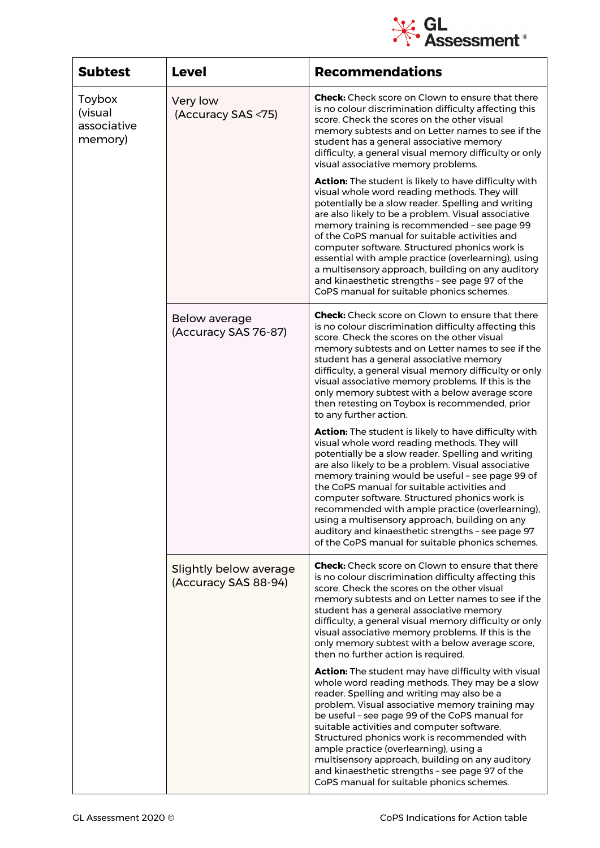

| <b>Subtest</b>                              | <b>Level</b>                                   | <b>Recommendations</b>                                                                                                                                                                                                                                                                                                                                                                                                                                                                                                                                                               |
|---------------------------------------------|------------------------------------------------|--------------------------------------------------------------------------------------------------------------------------------------------------------------------------------------------------------------------------------------------------------------------------------------------------------------------------------------------------------------------------------------------------------------------------------------------------------------------------------------------------------------------------------------------------------------------------------------|
| Toybox<br>(visual<br>associative<br>memory) | Very low<br>(Accuracy SAS <75)                 | <b>Check:</b> Check score on Clown to ensure that there<br>is no colour discrimination difficulty affecting this<br>score. Check the scores on the other visual<br>memory subtests and on Letter names to see if the<br>student has a general associative memory<br>difficulty, a general visual memory difficulty or only<br>visual associative memory problems.                                                                                                                                                                                                                    |
|                                             |                                                | Action: The student is likely to have difficulty with<br>visual whole word reading methods. They will<br>potentially be a slow reader. Spelling and writing<br>are also likely to be a problem. Visual associative<br>memory training is recommended - see page 99<br>of the CoPS manual for suitable activities and<br>computer software. Structured phonics work is<br>essential with ample practice (overlearning), using<br>a multisensory approach, building on any auditory<br>and kinaesthetic strengths - see page 97 of the<br>CoPS manual for suitable phonics schemes.    |
|                                             | <b>Below average</b><br>(Accuracy SAS 76-87)   | <b>Check:</b> Check score on Clown to ensure that there<br>is no colour discrimination difficulty affecting this<br>score. Check the scores on the other visual<br>memory subtests and on Letter names to see if the<br>student has a general associative memory<br>difficulty, a general visual memory difficulty or only<br>visual associative memory problems. If this is the<br>only memory subtest with a below average score<br>then retesting on Toybox is recommended, prior<br>to any further action.                                                                       |
|                                             |                                                | Action: The student is likely to have difficulty with<br>visual whole word reading methods. They will<br>potentially be a slow reader. Spelling and writing<br>are also likely to be a problem. Visual associative<br>memory training would be useful - see page 99 of<br>the CoPS manual for suitable activities and<br>computer software. Structured phonics work is<br>recommended with ample practice (overlearning),<br>using a multisensory approach, building on any<br>auditory and kinaesthetic strengths - see page 97<br>of the CoPS manual for suitable phonics schemes. |
|                                             | Slightly below average<br>(Accuracy SAS 88-94) | <b>Check:</b> Check score on Clown to ensure that there<br>is no colour discrimination difficulty affecting this<br>score. Check the scores on the other visual<br>memory subtests and on Letter names to see if the<br>student has a general associative memory<br>difficulty, a general visual memory difficulty or only<br>visual associative memory problems. If this is the<br>only memory subtest with a below average score,<br>then no further action is required.                                                                                                           |
|                                             |                                                | <b>Action:</b> The student may have difficulty with visual<br>whole word reading methods. They may be a slow<br>reader. Spelling and writing may also be a<br>problem. Visual associative memory training may<br>be useful - see page 99 of the CoPS manual for<br>suitable activities and computer software.<br>Structured phonics work is recommended with<br>ample practice (overlearning), using a<br>multisensory approach, building on any auditory<br>and kinaesthetic strengths - see page 97 of the<br>CoPS manual for suitable phonics schemes.                            |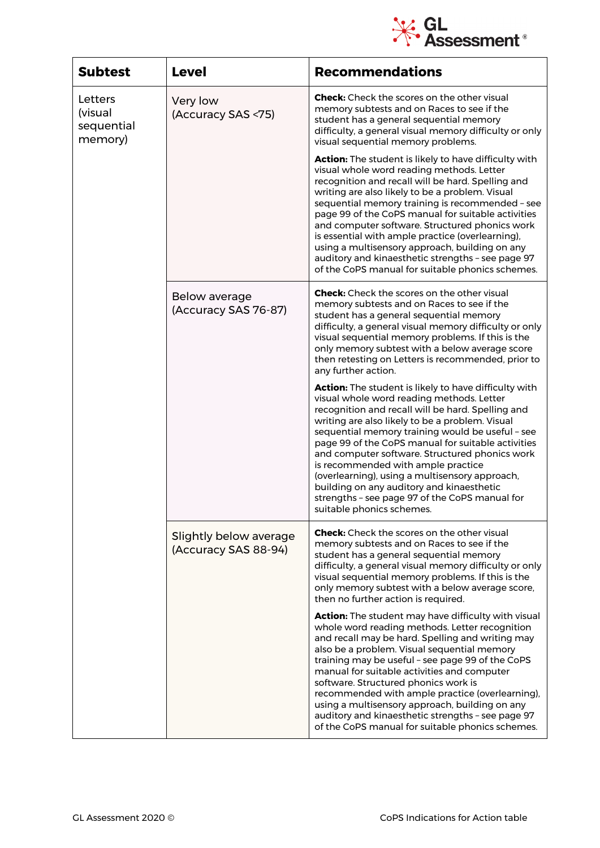

| <b>Subtest</b>                              | <b>Level</b>                                   | <b>Recommendations</b>                                                                                                                                                                                                                                                                                                                                                                                                                                                                                                                                                                            |
|---------------------------------------------|------------------------------------------------|---------------------------------------------------------------------------------------------------------------------------------------------------------------------------------------------------------------------------------------------------------------------------------------------------------------------------------------------------------------------------------------------------------------------------------------------------------------------------------------------------------------------------------------------------------------------------------------------------|
| Letters<br>(visual<br>sequential<br>memory) | Very low<br>(Accuracy SAS <75)                 | <b>Check:</b> Check the scores on the other visual<br>memory subtests and on Races to see if the<br>student has a general sequential memory<br>difficulty, a general visual memory difficulty or only<br>visual sequential memory problems.                                                                                                                                                                                                                                                                                                                                                       |
|                                             |                                                | Action: The student is likely to have difficulty with<br>visual whole word reading methods. Letter<br>recognition and recall will be hard. Spelling and<br>writing are also likely to be a problem. Visual<br>sequential memory training is recommended - see<br>page 99 of the CoPS manual for suitable activities<br>and computer software. Structured phonics work<br>is essential with ample practice (overlearning),<br>using a multisensory approach, building on any<br>auditory and kinaesthetic strengths - see page 97<br>of the CoPS manual for suitable phonics schemes.              |
|                                             | Below average<br>(Accuracy SAS 76-87)          | <b>Check:</b> Check the scores on the other visual<br>memory subtests and on Races to see if the<br>student has a general sequential memory<br>difficulty, a general visual memory difficulty or only<br>visual sequential memory problems. If this is the<br>only memory subtest with a below average score<br>then retesting on Letters is recommended, prior to<br>any further action.                                                                                                                                                                                                         |
|                                             |                                                | <b>Action:</b> The student is likely to have difficulty with<br>visual whole word reading methods. Letter<br>recognition and recall will be hard. Spelling and<br>writing are also likely to be a problem. Visual<br>sequential memory training would be useful - see<br>page 99 of the CoPS manual for suitable activities<br>and computer software. Structured phonics work<br>is recommended with ample practice<br>(overlearning), using a multisensory approach,<br>building on any auditory and kinaesthetic<br>strengths - see page 97 of the CoPS manual for<br>suitable phonics schemes. |
|                                             | Slightly below average<br>(Accuracy SAS 88-94) | <b>Check:</b> Check the scores on the other visual<br>memory subtests and on Races to see if the<br>student has a general sequential memory<br>difficulty, a general visual memory difficulty or only<br>visual sequential memory problems. If this is the<br>only memory subtest with a below average score,<br>then no further action is required.                                                                                                                                                                                                                                              |
|                                             |                                                | <b>Action:</b> The student may have difficulty with visual<br>whole word reading methods. Letter recognition<br>and recall may be hard. Spelling and writing may<br>also be a problem. Visual sequential memory<br>training may be useful - see page 99 of the CoPS<br>manual for suitable activities and computer<br>software. Structured phonics work is<br>recommended with ample practice (overlearning),<br>using a multisensory approach, building on any<br>auditory and kinaesthetic strengths - see page 97<br>of the CoPS manual for suitable phonics schemes.                          |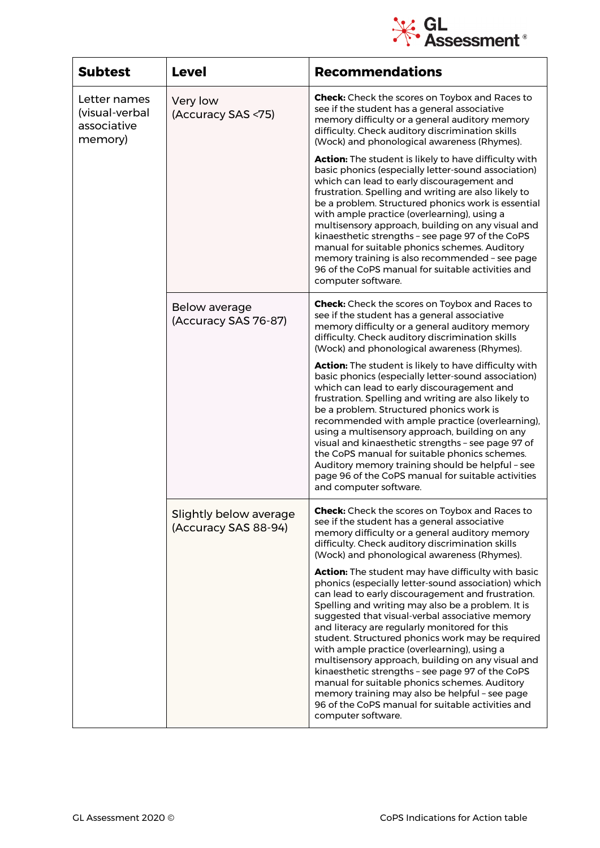

| <b>Subtest</b>                                           | <b>Level</b>                                   | <b>Recommendations</b>                                                                                                                                                                                                                                                                                                                                                                                                                                                                                                                                                                                                                                                                                            |
|----------------------------------------------------------|------------------------------------------------|-------------------------------------------------------------------------------------------------------------------------------------------------------------------------------------------------------------------------------------------------------------------------------------------------------------------------------------------------------------------------------------------------------------------------------------------------------------------------------------------------------------------------------------------------------------------------------------------------------------------------------------------------------------------------------------------------------------------|
| Letter names<br>(visual-verbal<br>associative<br>memory) | Very low<br>(Accuracy SAS <75)                 | <b>Check:</b> Check the scores on Toybox and Races to<br>see if the student has a general associative<br>memory difficulty or a general auditory memory<br>difficulty. Check auditory discrimination skills<br>(Wock) and phonological awareness (Rhymes).                                                                                                                                                                                                                                                                                                                                                                                                                                                        |
|                                                          |                                                | Action: The student is likely to have difficulty with<br>basic phonics (especially letter-sound association)<br>which can lead to early discouragement and<br>frustration. Spelling and writing are also likely to<br>be a problem. Structured phonics work is essential<br>with ample practice (overlearning), using a<br>multisensory approach, building on any visual and<br>kinaesthetic strengths - see page 97 of the CoPS<br>manual for suitable phonics schemes. Auditory<br>memory training is also recommended - see page<br>96 of the CoPS manual for suitable activities and<br>computer software.                                                                                                    |
|                                                          | Below average<br>(Accuracy SAS 76-87)          | <b>Check:</b> Check the scores on Toybox and Races to<br>see if the student has a general associative<br>memory difficulty or a general auditory memory<br>difficulty. Check auditory discrimination skills<br>(Wock) and phonological awareness (Rhymes).                                                                                                                                                                                                                                                                                                                                                                                                                                                        |
|                                                          |                                                | Action: The student is likely to have difficulty with<br>basic phonics (especially letter-sound association)<br>which can lead to early discouragement and<br>frustration. Spelling and writing are also likely to<br>be a problem. Structured phonics work is<br>recommended with ample practice (overlearning),<br>using a multisensory approach, building on any<br>visual and kinaesthetic strengths - see page 97 of<br>the CoPS manual for suitable phonics schemes.<br>Auditory memory training should be helpful - see<br>page 96 of the CoPS manual for suitable activities<br>and computer software.                                                                                                    |
|                                                          | Slightly below average<br>(Accuracy SAS 88-94) | <b>Check:</b> Check the scores on Toybox and Races to<br>see if the student has a general associative<br>memory difficulty or a general auditory memory<br>difficulty. Check auditory discrimination skills<br>(Wock) and phonological awareness (Rhymes).                                                                                                                                                                                                                                                                                                                                                                                                                                                        |
|                                                          |                                                | Action: The student may have difficulty with basic<br>phonics (especially letter-sound association) which<br>can lead to early discouragement and frustration.<br>Spelling and writing may also be a problem. It is<br>suggested that visual-verbal associative memory<br>and literacy are regularly monitored for this<br>student. Structured phonics work may be required<br>with ample practice (overlearning), using a<br>multisensory approach, building on any visual and<br>kinaesthetic strengths - see page 97 of the CoPS<br>manual for suitable phonics schemes. Auditory<br>memory training may also be helpful - see page<br>96 of the CoPS manual for suitable activities and<br>computer software. |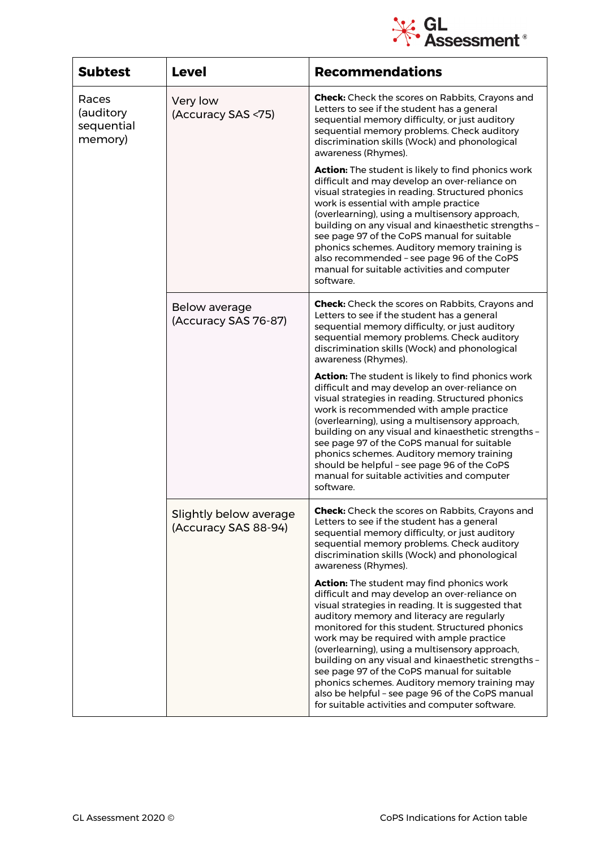

| <b>Subtest</b>                              | <b>Level</b>                                   | <b>Recommendations</b>                                                                                                                                                                                                                                                                                                                                                                                                                                                                                                                                                                                             |
|---------------------------------------------|------------------------------------------------|--------------------------------------------------------------------------------------------------------------------------------------------------------------------------------------------------------------------------------------------------------------------------------------------------------------------------------------------------------------------------------------------------------------------------------------------------------------------------------------------------------------------------------------------------------------------------------------------------------------------|
| Races<br>(auditory<br>sequential<br>memory) | Very low<br>(Accuracy SAS <75)                 | <b>Check:</b> Check the scores on Rabbits, Crayons and<br>Letters to see if the student has a general<br>sequential memory difficulty, or just auditory<br>sequential memory problems. Check auditory<br>discrimination skills (Wock) and phonological<br>awareness (Rhymes).                                                                                                                                                                                                                                                                                                                                      |
|                                             |                                                | Action: The student is likely to find phonics work<br>difficult and may develop an over-reliance on<br>visual strategies in reading. Structured phonics<br>work is essential with ample practice<br>(overlearning), using a multisensory approach,<br>building on any visual and kinaesthetic strengths -<br>see page 97 of the CoPS manual for suitable<br>phonics schemes. Auditory memory training is<br>also recommended - see page 96 of the CoPS<br>manual for suitable activities and computer<br>software.                                                                                                 |
|                                             | Below average<br>(Accuracy SAS 76-87)          | <b>Check:</b> Check the scores on Rabbits, Crayons and<br>Letters to see if the student has a general<br>sequential memory difficulty, or just auditory<br>sequential memory problems. Check auditory<br>discrimination skills (Wock) and phonological<br>awareness (Rhymes).                                                                                                                                                                                                                                                                                                                                      |
|                                             |                                                | <b>Action:</b> The student is likely to find phonics work<br>difficult and may develop an over-reliance on<br>visual strategies in reading. Structured phonics<br>work is recommended with ample practice<br>(overlearning), using a multisensory approach,<br>building on any visual and kinaesthetic strengths -<br>see page 97 of the CoPS manual for suitable<br>phonics schemes. Auditory memory training<br>should be helpful - see page 96 of the CoPS<br>manual for suitable activities and computer<br>software.                                                                                          |
|                                             | Slightly below average<br>(Accuracy SAS 88-94) | <b>Check:</b> Check the scores on Rabbits, Crayons and<br>Letters to see if the student has a general<br>sequential memory difficulty, or just auditory<br>sequential memory problems. Check auditory<br>discrimination skills (Wock) and phonological<br>awareness (Rhymes).                                                                                                                                                                                                                                                                                                                                      |
|                                             |                                                | <b>Action:</b> The student may find phonics work<br>difficult and may develop an over-reliance on<br>visual strategies in reading. It is suggested that<br>auditory memory and literacy are regularly<br>monitored for this student. Structured phonics<br>work may be required with ample practice<br>(overlearning), using a multisensory approach,<br>building on any visual and kinaesthetic strengths -<br>see page 97 of the CoPS manual for suitable<br>phonics schemes. Auditory memory training may<br>also be helpful - see page 96 of the CoPS manual<br>for suitable activities and computer software. |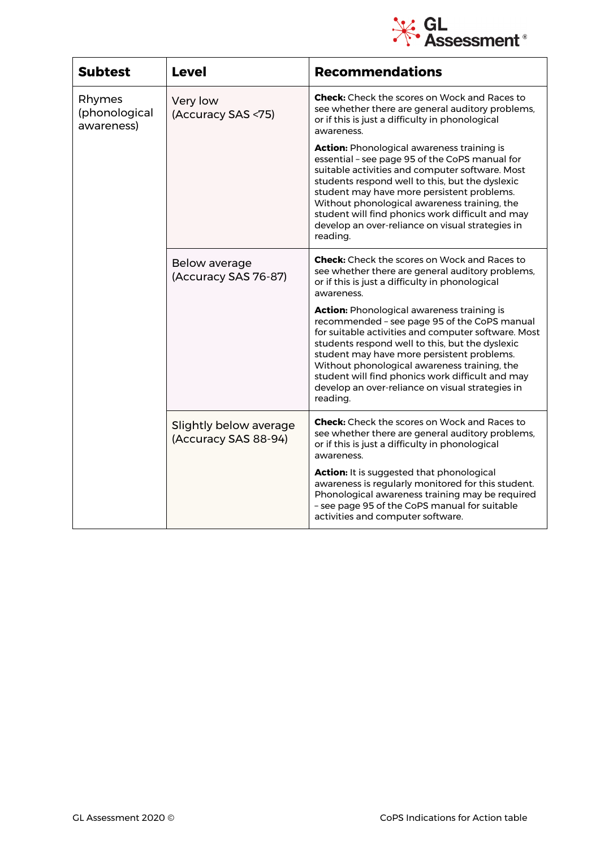

| <b>Subtest</b>                        | <b>Level</b>                                   | <b>Recommendations</b>                                                                                                                                                                                                                                                                                                                                                                                                        |
|---------------------------------------|------------------------------------------------|-------------------------------------------------------------------------------------------------------------------------------------------------------------------------------------------------------------------------------------------------------------------------------------------------------------------------------------------------------------------------------------------------------------------------------|
| Rhymes<br>(phonological<br>awareness) | Very low<br>(Accuracy SAS <75)                 | <b>Check:</b> Check the scores on Wock and Races to<br>see whether there are general auditory problems,<br>or if this is just a difficulty in phonological<br>awareness.                                                                                                                                                                                                                                                      |
|                                       |                                                | <b>Action:</b> Phonological awareness training is<br>essential - see page 95 of the CoPS manual for<br>suitable activities and computer software. Most<br>students respond well to this, but the dyslexic<br>student may have more persistent problems.<br>Without phonological awareness training, the<br>student will find phonics work difficult and may<br>develop an over-reliance on visual strategies in<br>reading.   |
|                                       | Below average<br>(Accuracy SAS 76-87)          | <b>Check:</b> Check the scores on Wock and Races to<br>see whether there are general auditory problems,<br>or if this is just a difficulty in phonological<br>awareness.                                                                                                                                                                                                                                                      |
|                                       |                                                | <b>Action:</b> Phonological awareness training is<br>recommended - see page 95 of the CoPS manual<br>for suitable activities and computer software. Most<br>students respond well to this, but the dyslexic<br>student may have more persistent problems.<br>Without phonological awareness training, the<br>student will find phonics work difficult and may<br>develop an over-reliance on visual strategies in<br>reading. |
|                                       | Slightly below average<br>(Accuracy SAS 88-94) | <b>Check:</b> Check the scores on Wock and Races to<br>see whether there are general auditory problems,<br>or if this is just a difficulty in phonological<br>awareness.                                                                                                                                                                                                                                                      |
|                                       |                                                | <b>Action:</b> It is suggested that phonological<br>awareness is regularly monitored for this student.<br>Phonological awareness training may be required<br>- see page 95 of the CoPS manual for suitable<br>activities and computer software.                                                                                                                                                                               |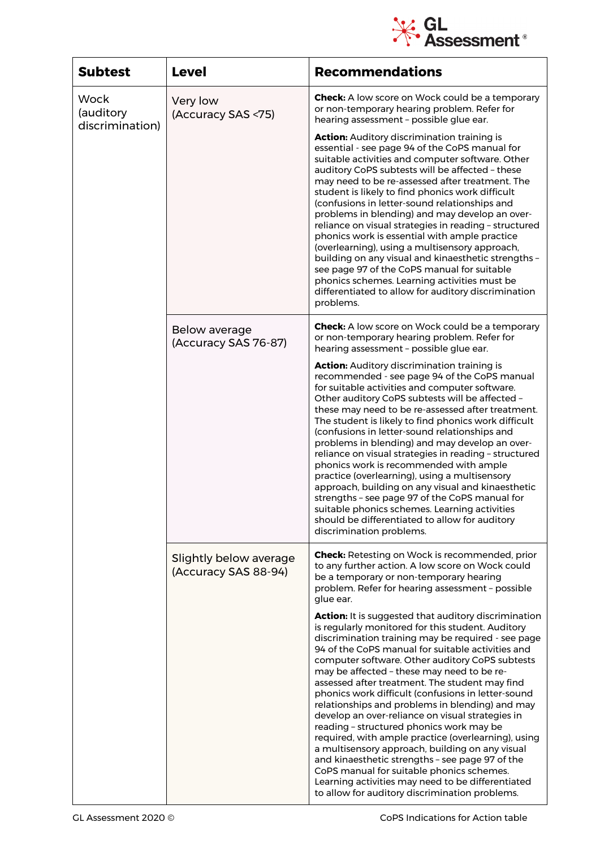

| <b>Subtest</b>                              | <b>Level</b>                                   | <b>Recommendations</b>                                                                                                                                                                                                                                                                                                                                                                                                                                                                                                                                                                                                                                                                                                                                                                                                                                                                                   |
|---------------------------------------------|------------------------------------------------|----------------------------------------------------------------------------------------------------------------------------------------------------------------------------------------------------------------------------------------------------------------------------------------------------------------------------------------------------------------------------------------------------------------------------------------------------------------------------------------------------------------------------------------------------------------------------------------------------------------------------------------------------------------------------------------------------------------------------------------------------------------------------------------------------------------------------------------------------------------------------------------------------------|
| <b>Wock</b><br>(auditory<br>discrimination) | Very low<br>(Accuracy SAS <75)                 | <b>Check:</b> A low score on Wock could be a temporary<br>or non-temporary hearing problem. Refer for<br>hearing assessment - possible glue ear.                                                                                                                                                                                                                                                                                                                                                                                                                                                                                                                                                                                                                                                                                                                                                         |
|                                             |                                                | <b>Action:</b> Auditory discrimination training is<br>essential - see page 94 of the CoPS manual for<br>suitable activities and computer software. Other<br>auditory CoPS subtests will be affected - these<br>may need to be re-assessed after treatment. The<br>student is likely to find phonics work difficult<br>(confusions in letter-sound relationships and<br>problems in blending) and may develop an over-<br>reliance on visual strategies in reading - structured<br>phonics work is essential with ample practice<br>(overlearning), using a multisensory approach,<br>building on any visual and kinaesthetic strengths -<br>see page 97 of the CoPS manual for suitable<br>phonics schemes. Learning activities must be<br>differentiated to allow for auditory discrimination<br>problems.                                                                                              |
|                                             | Below average<br>(Accuracy SAS 76-87)          | <b>Check:</b> A low score on Wock could be a temporary<br>or non-temporary hearing problem. Refer for<br>hearing assessment - possible glue ear.                                                                                                                                                                                                                                                                                                                                                                                                                                                                                                                                                                                                                                                                                                                                                         |
|                                             |                                                | <b>Action:</b> Auditory discrimination training is<br>recommended - see page 94 of the CoPS manual<br>for suitable activities and computer software.<br>Other auditory CoPS subtests will be affected -<br>these may need to be re-assessed after treatment.<br>The student is likely to find phonics work difficult<br>(confusions in letter-sound relationships and<br>problems in blending) and may develop an over-<br>reliance on visual strategies in reading - structured<br>phonics work is recommended with ample<br>practice (overlearning), using a multisensory<br>approach, building on any visual and kinaesthetic<br>strengths - see page 97 of the CoPS manual for<br>suitable phonics schemes. Learning activities<br>should be differentiated to allow for auditory<br>discrimination problems.                                                                                        |
|                                             | Slightly below average<br>(Accuracy SAS 88-94) | <b>Check:</b> Retesting on Wock is recommended, prior<br>to any further action. A low score on Wock could<br>be a temporary or non-temporary hearing<br>problem. Refer for hearing assessment - possible<br>glue ear.                                                                                                                                                                                                                                                                                                                                                                                                                                                                                                                                                                                                                                                                                    |
|                                             |                                                | <b>Action:</b> It is suggested that auditory discrimination<br>is regularly monitored for this student. Auditory<br>discrimination training may be required - see page<br>94 of the CoPS manual for suitable activities and<br>computer software. Other auditory CoPS subtests<br>may be affected - these may need to be re-<br>assessed after treatment. The student may find<br>phonics work difficult (confusions in letter-sound<br>relationships and problems in blending) and may<br>develop an over-reliance on visual strategies in<br>reading - structured phonics work may be<br>required, with ample practice (overlearning), using<br>a multisensory approach, building on any visual<br>and kinaesthetic strengths - see page 97 of the<br>CoPS manual for suitable phonics schemes.<br>Learning activities may need to be differentiated<br>to allow for auditory discrimination problems. |